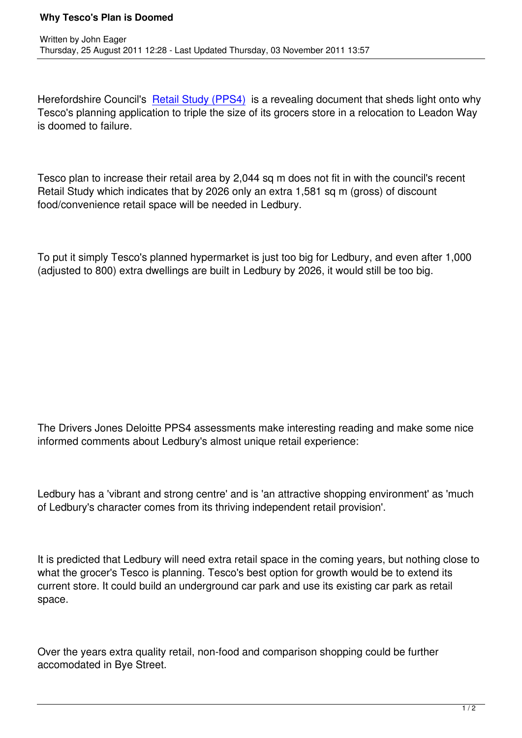Herefordshire Council's Retail Study (PPS4) is a revealing document that sheds light onto why Tesco's planning application to triple the size of its grocers store in a relocation to Leadon Way is doomed to failure.

Tesco plan to increase their retail area by 2,044 sq m does not fit in with the council's recent Retail Study which indicates that by 2026 only an extra 1,581 sq m (gross) of discount food/convenience retail space will be needed in Ledbury.

To put it simply Tesco's planned hypermarket is just too big for Ledbury, and even after 1,000 (adjusted to 800) extra dwellings are built in Ledbury by 2026, it would still be too big.

The Drivers Jones Deloitte PPS4 assessments make interesting reading and make some nice informed comments about Ledbury's almost unique retail experience:

Ledbury has a 'vibrant and strong centre' and is 'an attractive shopping environment' as 'much of Ledbury's character comes from its thriving independent retail provision'.

It is predicted that Ledbury will need extra retail space in the coming years, but nothing close to what the grocer's Tesco is planning. Tesco's best option for growth would be to extend its current store. It could build an underground car park and use its existing car park as retail space.

Over the years extra quality retail, non-food and comparison shopping could be further accomodated in Bye Street.